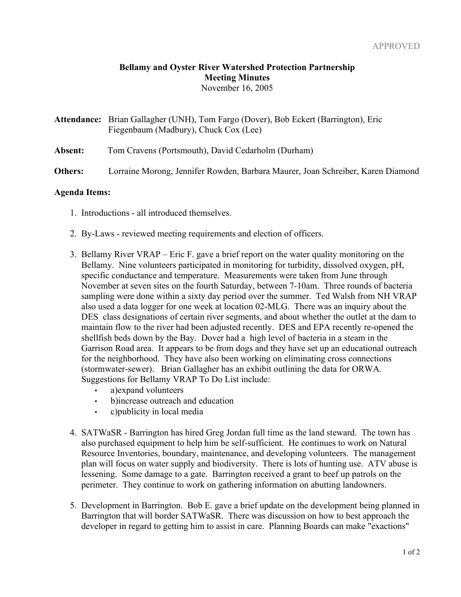## **Bellamy and Oyster River Watershed Protection Partnership Meeting Minutes** November 16, 2005

| <b>Attendance:</b> Brian Gallagher (UNH), Tom Fargo (Dover), Bob Eckert (Barrington), Eric |
|--------------------------------------------------------------------------------------------|
| Fiegenbaum (Madbury), Chuck Cox (Lee)                                                      |

**Absent:** Tom Cravens (Portsmouth), David Cedarholm (Durham)

**Others:** Lorraine Morong, Jennifer Rowden, Barbara Maurer, Joan Schreiber, Karen Diamond

## **Agenda Items:**

- 1. Introductions all introduced themselves.
- 2. By-Laws reviewed meeting requirements and election of officers.
- 3. Bellamy River VRAP Eric F. gave a brief report on the water quality monitoring on the Bellamy. Nine volunteers participated in monitoring for turbidity, dissolved oxygen, pH, specific conductance and temperature. Measurements were taken from June through November at seven sites on the fourth Saturday, between 7-10am. Three rounds of bacteria sampling were done within a sixty day period over the summer. Ted Walsh from NH VRAP also used a data logger for one week at location 02-MLG. There was an inquiry about the DES class designations of certain river segments, and about whether the outlet at the dam to maintain flow to the river had been adjusted recently. DES and EPA recently re-opened the shellfish beds down by the Bay. Dover had a high level of bacteria in a steam in the Garrison Road area. It appears to be from dogs and they have set up an educational outreach for the neighborhood. They have also been working on eliminating cross connections (stormwater-sewer). Brian Gallagher has an exhibit outlining the data for ORWA. Suggestions for Bellamy VRAP To Do List include:
	- a) expand volunteers
	- b)increase outreach and education
	- c)publicity in local media
- 4. SATWaSR Barrington has hired Greg Jordan full time as the land steward. The town has also purchased equipment to help him be self-sufficient. He continues to work on Natural Resource Inventories, boundary, maintenance, and developing volunteers. The management plan will focus on water supply and biodiversity. There is lots of hunting use. ATV abuse is lessening. Some damage to a gate. Barrington received a grant to beef up patrols on the perimeter. They continue to work on gathering information on abutting landowners.
- 5. Development in Barrington. Bob E. gave a brief update on the development being planned in Barrington that will border SATWaSR. There was discussion on how to best approach the developer in regard to getting him to assist in care. Planning Boards can make "exactions"